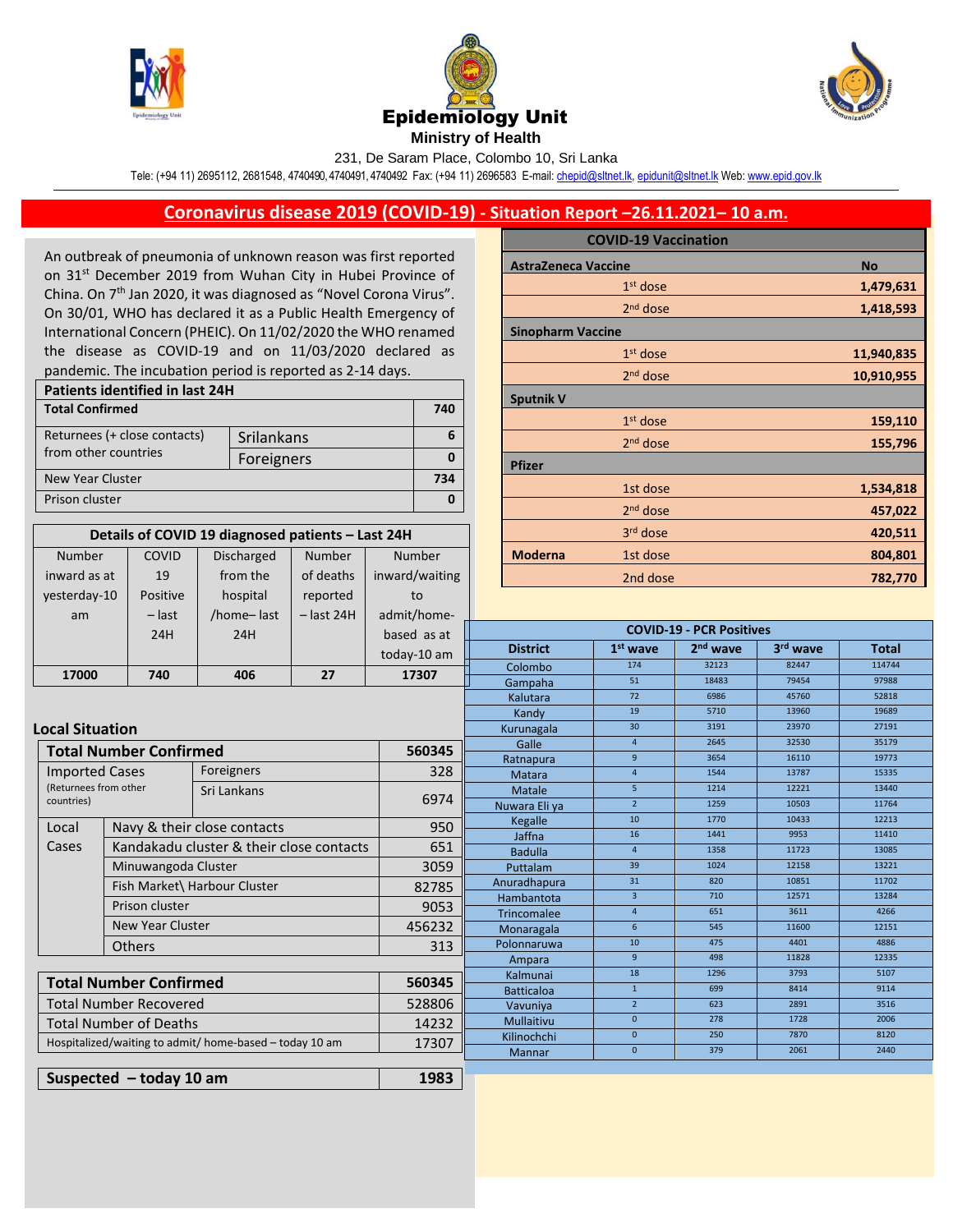

Number

COVID





231, De Saram Place, Colombo 10, Sri Lanka

Tele: (+94 11) 2695112, 2681548, 4740490, 4740491, 4740492 Fax: (+94 11) 2696583 E-mail[: chepid@sltnet.lk,](mailto:chepi@sltnet.lk) [epidunit@sltnet.lk](mailto:epidunit@sltnet.lk) Web[: www.epid.gov.lk](http://www.epid.gov.lk/)

## **Coronavirus disease 2019 (COVID-19) - Situation Report –26.11.2021– 10 a.m.**

An outbreak of pneumonia of unknown reason was first reported on 31<sup>st</sup> December 2019 from Wuhan City in Hubei Province of China. On 7<sup>th</sup> Jan 2020, it was diagnosed as "Novel Corona Virus". On 30/01, WHO has declared it as a Public Health Emergency of International Concern (PHEIC). On 11/02/2020 the WHO renamed the disease as COVID-19 and on 11/03/2020 declared as pandemic. The incubation period is reported as 2-14 days.

| <b>Patients identified in last 24H</b> |     |  |  |  |  |
|----------------------------------------|-----|--|--|--|--|
|                                        | 740 |  |  |  |  |
| Srilankans                             |     |  |  |  |  |
| Foreigners                             |     |  |  |  |  |
|                                        | 734 |  |  |  |  |
|                                        |     |  |  |  |  |
|                                        |     |  |  |  |  |

**Details of COVID 19 diagnosed patients – Last 24H**

Number

Number

Discharged

|                            | <b>COVID-19 Vaccination</b> |            |  |  |  |
|----------------------------|-----------------------------|------------|--|--|--|
| <b>AstraZeneca Vaccine</b> |                             | <b>No</b>  |  |  |  |
|                            | $1st$ dose                  | 1,479,631  |  |  |  |
|                            | $2nd$ dose                  | 1,418,593  |  |  |  |
| <b>Sinopharm Vaccine</b>   |                             |            |  |  |  |
|                            | $1st$ dose                  | 11,940,835 |  |  |  |
|                            | $2nd$ dose                  | 10,910,955 |  |  |  |
| <b>Sputnik V</b>           |                             |            |  |  |  |
|                            | $1st$ dose                  | 159,110    |  |  |  |
|                            | $2nd$ dose                  | 155,796    |  |  |  |
| <b>Pfizer</b>              |                             |            |  |  |  |
|                            | 1st dose                    | 1,534,818  |  |  |  |
|                            | 2 <sup>nd</sup> dose        | 457,022    |  |  |  |
|                            | 3rd dose                    | 420,511    |  |  |  |
| <b>Moderna</b>             | 1st dose                    | 804,801    |  |  |  |
|                            | 2nd dose                    | 782,770    |  |  |  |

| inward as at                  |                                                                  | 19                            | from the   | of deaths    | inward/waiting             | 2nd dose                        |                 |               | 782,770              |          |              |
|-------------------------------|------------------------------------------------------------------|-------------------------------|------------|--------------|----------------------------|---------------------------------|-----------------|---------------|----------------------|----------|--------------|
| yesterday-10                  |                                                                  | Positive                      | hospital   | reported     | to                         |                                 |                 |               |                      |          |              |
| am                            |                                                                  | $-$ last                      | /home-last | $-$ last 24H | admit/home-                |                                 |                 |               |                      |          |              |
|                               |                                                                  | 24H                           | 24H        |              | based as at                | <b>COVID-19 - PCR Positives</b> |                 |               |                      |          |              |
|                               |                                                                  |                               |            |              | today-10 am                |                                 | <b>District</b> | $1st$ wave    | 2 <sup>nd</sup> wave | 3rd wave | <b>Total</b> |
|                               |                                                                  |                               |            |              | 17307                      |                                 | Colombo         | 174           | 32123                | 82447    | 114744       |
|                               | 406<br>27<br>17000<br>740                                        |                               |            |              |                            | Gampaha                         | 51              | 18483         | 79454                | 97988    |              |
|                               |                                                                  |                               |            |              | Kalutara                   | $\overline{72}$                 | 6986            | 45760         | 52818                |          |              |
|                               |                                                                  |                               |            |              |                            |                                 | Kandy           | 19            | 5710                 | 13960    | 19689        |
| <b>Local Situation</b>        |                                                                  |                               |            |              |                            |                                 | Kurunagala      | 30            | 3191                 | 23970    | 27191        |
|                               |                                                                  | <b>Total Number Confirmed</b> |            |              | 560345                     | $\overline{4}$<br>2645<br>Galle |                 |               | 32530                | 35179    |              |
|                               |                                                                  |                               |            |              |                            | Ratnapura                       | 9               | 3654          | 16110                | 19773    |              |
|                               | Foreigners<br><b>Imported Cases</b>                              |                               | 328        |              | Matara                     | $\overline{4}$                  | 1544            | 13787         | 15335                |          |              |
|                               | (Returnees from other<br>Sri Lankans<br>countries)               |                               |            |              | 6974                       |                                 | <b>Matale</b>   | 5             | 1214                 | 12221    | 13440        |
|                               |                                                                  |                               |            |              | Nuwara Eli ya              | $\overline{2}$<br>10            | 1259            | 10503         | 11764                |          |              |
| Local                         | Navy & their close contacts                                      |                               | 950        |              | <b>Kegalle</b>             | 16                              | 1770<br>1441    | 10433<br>9953 | 12213<br>11410       |          |              |
| Cases                         | Kandakadu cluster & their close contacts                         |                               | 651        |              | Jaffna                     | $\overline{4}$                  | 1358            | 11723         | 13085                |          |              |
|                               |                                                                  |                               | 3059       |              | <b>Badulla</b><br>Puttalam | 39                              | 1024            | 12158         | 13221                |          |              |
|                               | Minuwangoda Cluster                                              |                               |            |              |                            | Anuradhapura                    | 31              | 820           | 10851                | 11702    |              |
|                               | Fish Market\ Harbour Cluster                                     |                               | 82785      |              | Hambantota                 | $\overline{3}$                  | 710             | 12571         | 13284                |          |              |
|                               | Prison cluster                                                   |                               | 9053       |              | Trincomalee                | $\overline{4}$                  | 651             | 3611          | 4266                 |          |              |
|                               | <b>New Year Cluster</b>                                          |                               | 456232     |              | Monaragala                 | 6                               | 545             | 11600         | 12151                |          |              |
| <b>Others</b>                 |                                                                  |                               | 313        |              | Polonnaruwa                | 10                              | 475             | 4401          | 4886                 |          |              |
|                               |                                                                  |                               |            |              | Ampara                     | 9                               | 498             | 11828         | 12335                |          |              |
|                               |                                                                  |                               |            |              |                            | Kalmunai                        | 18              | 1296          | 3793                 | 5107     |              |
|                               | <b>Total Number Confirmed</b>                                    |                               | 560345     |              | <b>Batticaloa</b>          | $\mathbf{1}$                    | 699             | 8414          | 9114                 |          |              |
| <b>Total Number Recovered</b> |                                                                  | 528806                        |            | Vavuniya     | $\overline{2}$             | 623                             | 2891            | 3516          |                      |          |              |
|                               | <b>Total Number of Deaths</b><br>14232                           |                               |            | Mullaitivu   | $\mathbf{0}$               | 278                             | 1728            | 2006          |                      |          |              |
|                               | Hospitalized/waiting to admit/ home-based - today 10 am<br>17307 |                               |            | Kilinochchi  | $\mathbf{0}$               | 250                             | 7870            | 8120          |                      |          |              |
|                               |                                                                  |                               |            |              | Mannar                     | $\mathbf{0}$                    | 379             | 2061          | 2440                 |          |              |
|                               |                                                                  | Suspected $-$ today 10 am     |            |              | 1983                       |                                 |                 |               |                      |          |              |
|                               |                                                                  |                               |            |              |                            |                                 |                 |               |                      |          |              |